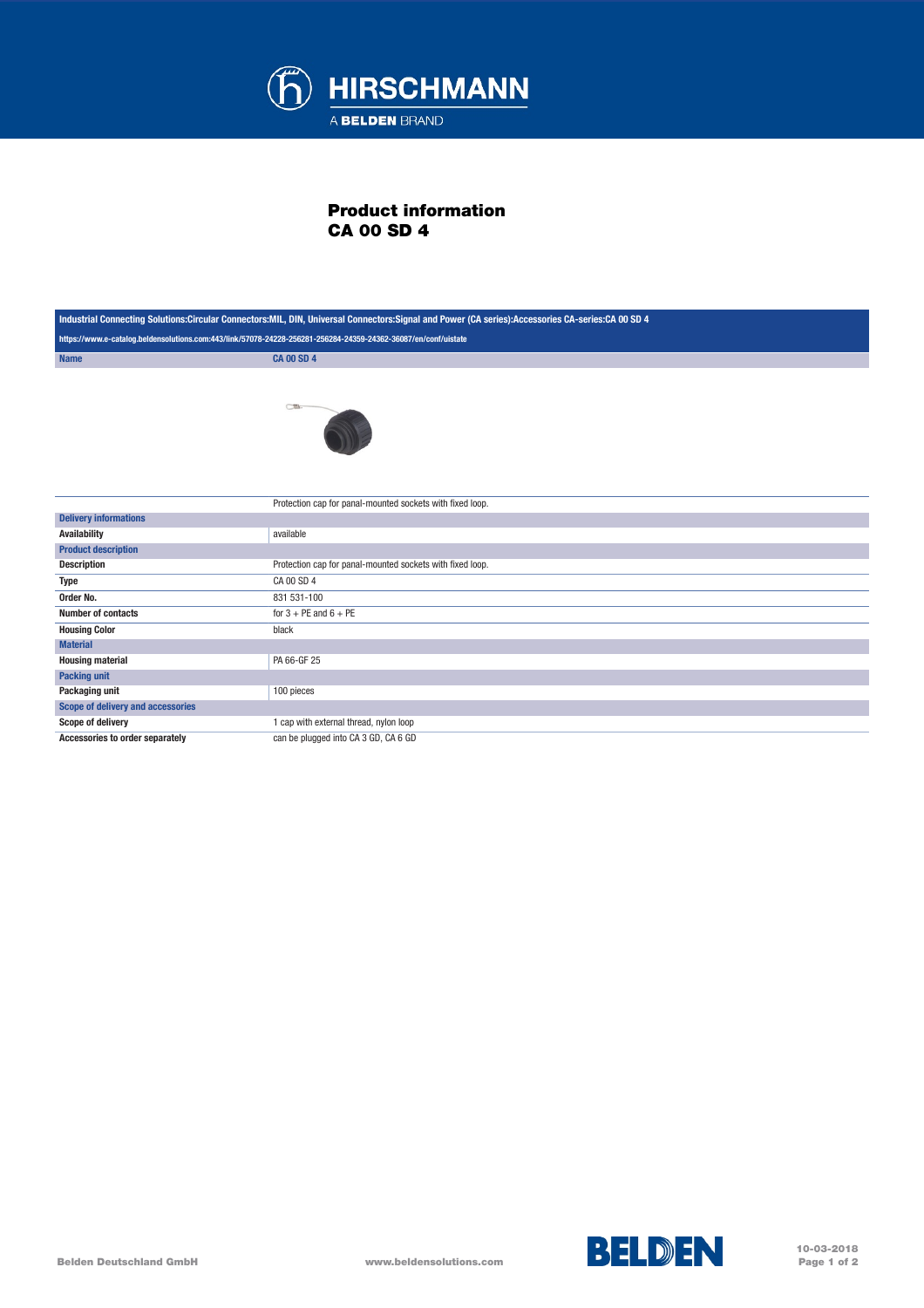

## Product information CA 00 SD 4

| Industrial Connecting Solutions:Circular Connectors:MIL, DIN, Universal Connectors:Signal and Power (CA series):Accessories CA-series:CA 00 SD 4 |                                                           |
|--------------------------------------------------------------------------------------------------------------------------------------------------|-----------------------------------------------------------|
| https://www.e-catalog.beldensolutions.com:443/link/57078-24228-256281-256284-24359-24362-36087/en/conf/uistate                                   |                                                           |
| <b>Name</b>                                                                                                                                      | <b>CA 00 SD 4</b>                                         |
|                                                                                                                                                  | $\subset \mathbb{R}$                                      |
|                                                                                                                                                  | Protection cap for panal-mounted sockets with fixed loop. |
| <b>Delivery informations</b>                                                                                                                     |                                                           |
| <b>Availability</b>                                                                                                                              | available                                                 |
| <b>Product description</b>                                                                                                                       |                                                           |
| <b>Description</b>                                                                                                                               | Protection cap for panal-mounted sockets with fixed loop. |
| <b>Type</b>                                                                                                                                      | CA 00 SD 4                                                |
| Order No.                                                                                                                                        | 831 531-100                                               |
| <b>Number of contacts</b>                                                                                                                        | for $3 + PE$ and $6 + PE$                                 |
| <b>Housing Color</b>                                                                                                                             | black                                                     |
| <b>Material</b>                                                                                                                                  |                                                           |
| <b>Housing material</b>                                                                                                                          | PA 66-GF 25                                               |
| <b>Packing unit</b>                                                                                                                              |                                                           |
| Packaging unit                                                                                                                                   | 100 pieces                                                |
| <b>Scope of delivery and accessories</b>                                                                                                         |                                                           |
| <b>Scope of delivery</b>                                                                                                                         | 1 cap with external thread, nylon loop                    |
| Accessories to order separately                                                                                                                  | can be plugged into CA 3 GD, CA 6 GD                      |